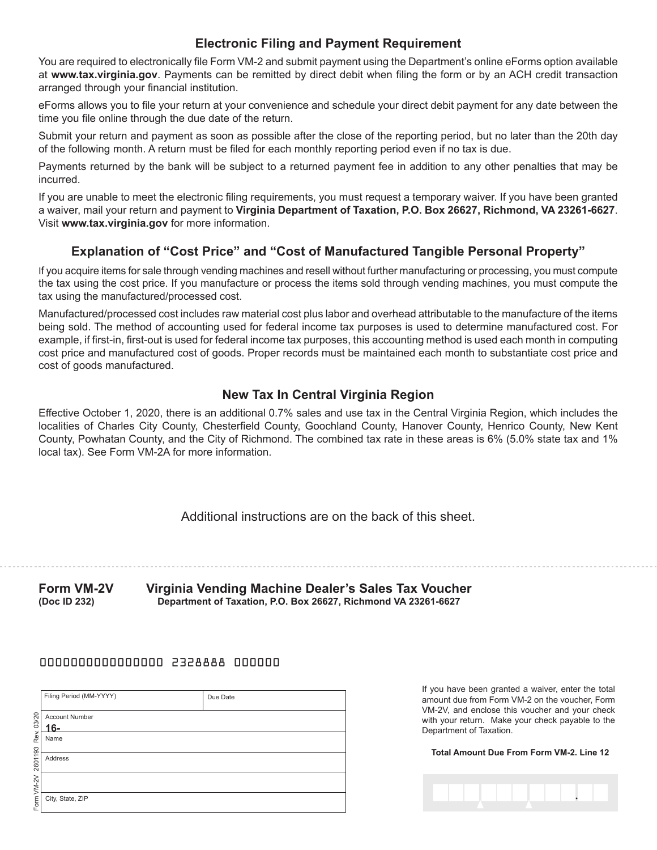## **Electronic Filing and Payment Requirement**

You are required to electronically file Form VM-2 and submit payment using the Department's online eForms option available at **www.tax.virginia.gov**. Payments can be remitted by direct debit when filing the form or by an ACH credit transaction arranged through your financial institution.

eForms allows you to file your return at your convenience and schedule your direct debit payment for any date between the time you file online through the due date of the return.

Submit your return and payment as soon as possible after the close of the reporting period, but no later than the 20th day of the following month. A return must be filed for each monthly reporting period even if no tax is due.

Payments returned by the bank will be subject to a returned payment fee in addition to any other penalties that may be incurred.

If you are unable to meet the electronic filing requirements, you must request a temporary waiver. If you have been granted a waiver, mail your return and payment to **Virginia Department of Taxation, P.O. Box 26627, Richmond, VA 23261-6627**. Visit **www.tax.virginia.gov** for more information.

## **Explanation of "Cost Price" and "Cost of Manufactured Tangible Personal Property"**

If you acquire items for sale through vending machines and resell without further manufacturing or processing, you must compute the tax using the cost price. If you manufacture or process the items sold through vending machines, you must compute the tax using the manufactured/processed cost.

Manufactured/processed cost includes raw material cost plus labor and overhead attributable to the manufacture of the items being sold. The method of accounting used for federal income tax purposes is used to determine manufactured cost. For example, if first-in, first-out is used for federal income tax purposes, this accounting method is used each month in computing cost price and manufactured cost of goods. Proper records must be maintained each month to substantiate cost price and cost of goods manufactured.

## **New Tax In Central Virginia Region**

Effective October 1, 2020, there is an additional 0.7% sales and use tax in the Central Virginia Region, which includes the localities of Charles City County, Chesterfield County, Goochland County, Hanover County, Henrico County, New Kent County, Powhatan County, and the City of Richmond. The combined tax rate in these areas is 6% (5.0% state tax and 1% local tax). See Form VM-2A for more information.

Additional instructions are on the back of this sheet.

**Form VM-2V Virginia Vending Machine Dealer's Sales Tax Voucher (Doc ID 232) Department of Taxation, P.O. Box 26627, Richmond VA 23261-6627**

#### 0000000000000000 2328888 000000

|         | Filing Period (MM-YYYY)      | Due Date |
|---------|------------------------------|----------|
| 03/20   | <b>Account Number</b><br>16- |          |
|         |                              |          |
| Rev.    | Name                         |          |
| 2601193 | Address                      |          |
| $VM-2V$ |                              |          |
| Form    | City, State, ZIP             |          |

If you have been granted a waiver, enter the total amount due from Form VM-2 on the voucher, Form VM-2V, and enclose this voucher and your check with your return. Make your check payable to the Department of Taxation.

**Total Amount Due From Form VM-2. Line 12**

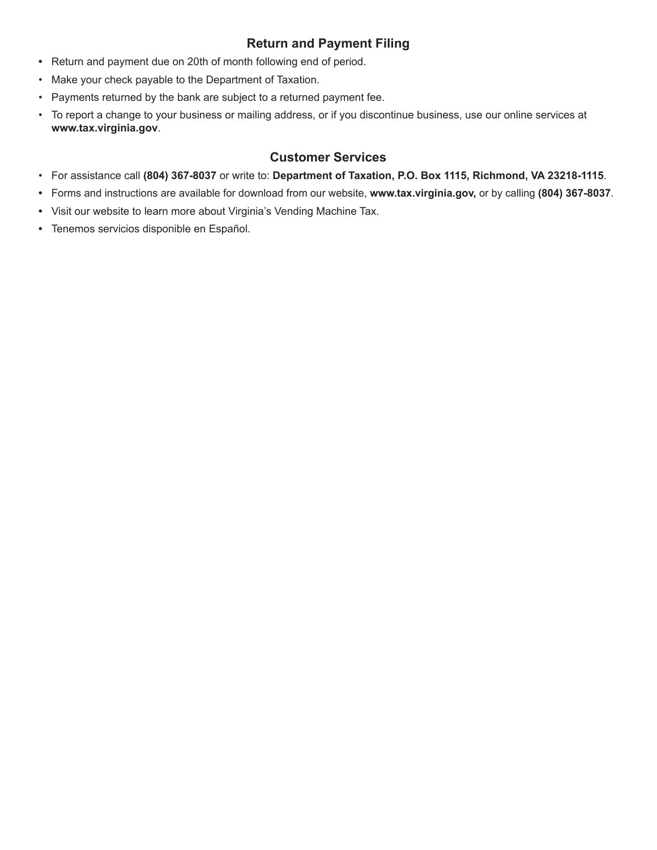# **Return and Payment Filing**

- **•** Return and payment due on 20th of month following end of period.
- Make your check payable to the Department of Taxation.
- Payments returned by the bank are subject to a returned payment fee.
- To report a change to your business or mailing address, or if you discontinue business, use our online services at **www.tax.virginia.gov**.

### **Customer Services**

- For assistance call **(804) 367-8037** or write to: **Department of Taxation, P.O. Box 1115, Richmond, VA 23218-1115**.
- **•** Forms and instructions are available for download from our website, **www.tax.virginia.gov,** or by calling **(804) 367-8037**.
- **•** Visit our website to learn more about Virginia's Vending Machine Tax.
- **•** Tenemos servicios disponible en Español.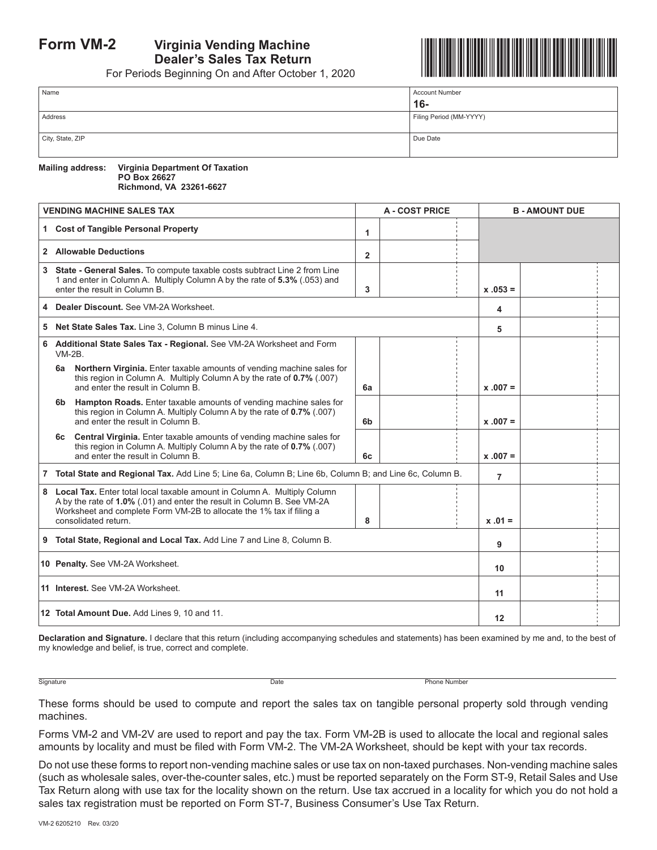# **Form VM-2 Virginia Vending Machine Dealer's Sales Tax Return**

For Periods Beginning On and After October 1, 2020



| Name             | <b>Account Number</b>   |
|------------------|-------------------------|
|                  | $16 -$                  |
| Address          | Filing Period (MM-YYYY) |
|                  |                         |
| City, State, ZIP | Due Date                |
|                  |                         |

**Mailing address: Virginia Department Of Taxation PO Box 26627 Richmond, VA 23261-6627**

|          | <b>VENDING MACHINE SALES TAX</b>                                                                                                                                                                                                                      |                   | <b>A - COST PRICE</b> |                | <b>B-AMOUNT DUE</b> |  |  |
|----------|-------------------------------------------------------------------------------------------------------------------------------------------------------------------------------------------------------------------------------------------------------|-------------------|-----------------------|----------------|---------------------|--|--|
|          | 1 Cost of Tangible Personal Property                                                                                                                                                                                                                  | 1                 |                       |                |                     |  |  |
|          | 2 Allowable Deductions                                                                                                                                                                                                                                | $\overline{2}$    |                       |                |                     |  |  |
|          | 3 State - General Sales. To compute taxable costs subtract Line 2 from Line<br>1 and enter in Column A. Multiply Column A by the rate of 5.3% (.053) and<br>enter the result in Column B.                                                             | 3                 |                       | $x .053 =$     |                     |  |  |
|          | 4 Dealer Discount. See VM-2A Worksheet.                                                                                                                                                                                                               |                   |                       | 4              |                     |  |  |
|          | 5 Net State Sales Tax, Line 3. Column B minus Line 4.                                                                                                                                                                                                 |                   |                       | 5              |                     |  |  |
| $VM-2B.$ | 6 Additional State Sales Tax - Regional. See VM-2A Worksheet and Form                                                                                                                                                                                 |                   |                       |                |                     |  |  |
| 6а       | Northern Virginia. Enter taxable amounts of vending machine sales for<br>this region in Column A. Multiply Column A by the rate of 0.7% (.007)<br>and enter the result in Column B.                                                                   | 6a                |                       | $x .007 =$     |                     |  |  |
| 6b l     | Hampton Roads. Enter taxable amounts of vending machine sales for<br>this region in Column A. Multiply Column A by the rate of 0.7% (.007)<br>and enter the result in Column B.                                                                       | 6b                |                       | $x .007 =$     |                     |  |  |
| 6c —     | <b>Central Virginia.</b> Enter taxable amounts of vending machine sales for<br>this region in Column A. Multiply Column A by the rate of 0.7% (.007)<br>and enter the result in Column B.                                                             | 6c                |                       | $x .007 =$     |                     |  |  |
|          | 7 Total State and Regional Tax. Add Line 5: Line 6a, Column B: Line 6b, Column B: and Line 6c, Column B.                                                                                                                                              |                   |                       | $\overline{7}$ |                     |  |  |
|          | 8 Local Tax. Enter total local taxable amount in Column A. Multiply Column<br>A by the rate of 1.0% (.01) and enter the result in Column B. See VM-2A<br>Worksheet and complete Form VM-2B to allocate the 1% tax if filing a<br>consolidated return. | 8                 |                       | $x .01 =$      |                     |  |  |
|          | 9 Total State, Regional and Local Tax. Add Line 7 and Line 8, Column B.                                                                                                                                                                               |                   |                       | 9              |                     |  |  |
|          | 10 Penalty. See VM-2A Worksheet.                                                                                                                                                                                                                      |                   | 10                    |                |                     |  |  |
|          | 11 Interest. See VM-2A Worksheet.                                                                                                                                                                                                                     |                   | 11                    |                |                     |  |  |
|          | 12 Total Amount Due, Add Lines 9, 10 and 11.                                                                                                                                                                                                          | $12 \overline{ }$ |                       |                |                     |  |  |

**Declaration and Signature.** I declare that this return (including accompanying schedules and statements) has been examined by me and, to the best of my knowledge and belief, is true, correct and complete.

Signature Date Phone Number

These forms should be used to compute and report the sales tax on tangible personal property sold through vending machines.

Forms VM-2 and VM-2V are used to report and pay the tax. Form VM-2B is used to allocate the local and regional sales amounts by locality and must be filed with Form VM-2. The VM-2A Worksheet, should be kept with your tax records.

Do not use these forms to report non-vending machine sales or use tax on non-taxed purchases. Non-vending machine sales (such as wholesale sales, over-the-counter sales, etc.) must be reported separately on the Form ST-9, Retail Sales and Use Tax Return along with use tax for the locality shown on the return. Use tax accrued in a locality for which you do not hold a sales tax registration must be reported on Form ST-7, Business Consumer's Use Tax Return.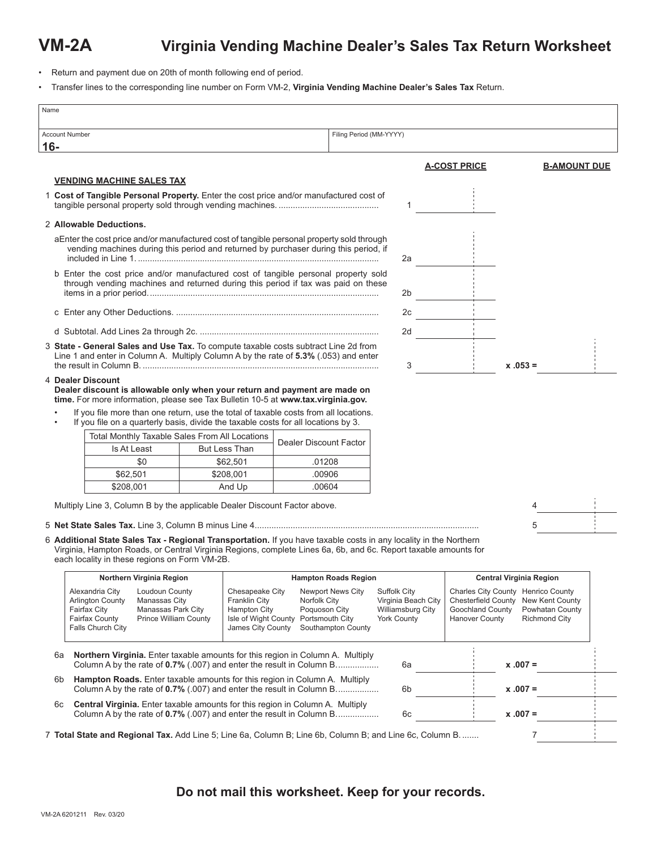# **VM-2A Virginia Vending Machine Dealer's Sales Tax Return Worksheet**

- Return and payment due on 20th of month following end of period.
- Transfer lines to the corresponding line number on Form VM-2, **Virginia Vending Machine Dealer's Sales Tax** Return.

| Name                  |                                                                                                                                                                                                                                                                                       |                      |                                                                                                             |                                                                                                    |                                           |                                          |                                                  |                                                                           |                                         |
|-----------------------|---------------------------------------------------------------------------------------------------------------------------------------------------------------------------------------------------------------------------------------------------------------------------------------|----------------------|-------------------------------------------------------------------------------------------------------------|----------------------------------------------------------------------------------------------------|-------------------------------------------|------------------------------------------|--------------------------------------------------|---------------------------------------------------------------------------|-----------------------------------------|
| <b>Account Number</b> |                                                                                                                                                                                                                                                                                       |                      |                                                                                                             | Filing Period (MM-YYYY)                                                                            |                                           |                                          |                                                  |                                                                           |                                         |
| $16 -$                |                                                                                                                                                                                                                                                                                       |                      |                                                                                                             |                                                                                                    |                                           |                                          |                                                  |                                                                           |                                         |
|                       |                                                                                                                                                                                                                                                                                       |                      |                                                                                                             |                                                                                                    |                                           |                                          | <u>A-COST PRICE</u>                              |                                                                           | <b>B-AMOUNT DUE</b>                     |
|                       | <b>VENDING MACHINE SALES TAX</b>                                                                                                                                                                                                                                                      |                      |                                                                                                             |                                                                                                    |                                           |                                          |                                                  |                                                                           |                                         |
|                       | 1 Cost of Tangible Personal Property. Enter the cost price and/or manufactured cost of                                                                                                                                                                                                |                      |                                                                                                             |                                                                                                    |                                           | 1                                        |                                                  |                                                                           |                                         |
|                       | 2 Allowable Deductions.                                                                                                                                                                                                                                                               |                      |                                                                                                             |                                                                                                    |                                           |                                          |                                                  |                                                                           |                                         |
|                       | aEnter the cost price and/or manufactured cost of tangible personal property sold through<br>vending machines during this period and returned by purchaser during this period, if                                                                                                     |                      |                                                                                                             |                                                                                                    |                                           | 2a                                       |                                                  |                                                                           |                                         |
|                       | b Enter the cost price and/or manufactured cost of tangible personal property sold<br>through vending machines and returned during this period if tax was paid on these                                                                                                               |                      |                                                                                                             |                                                                                                    |                                           | 2b                                       |                                                  |                                                                           |                                         |
|                       |                                                                                                                                                                                                                                                                                       |                      |                                                                                                             |                                                                                                    |                                           | 2c                                       | <b>Contract</b>                                  |                                                                           |                                         |
|                       |                                                                                                                                                                                                                                                                                       |                      |                                                                                                             |                                                                                                    |                                           | 2d                                       |                                                  |                                                                           |                                         |
|                       | 3 State - General Sales and Use Tax. To compute taxable costs subtract Line 2d from                                                                                                                                                                                                   |                      |                                                                                                             |                                                                                                    |                                           |                                          |                                                  |                                                                           |                                         |
|                       | Line 1 and enter in Column A. Multiply Column A by the rate of 5.3% (.053) and enter                                                                                                                                                                                                  |                      |                                                                                                             |                                                                                                    |                                           | 3                                        |                                                  | $x.053 =$                                                                 |                                         |
|                       | 4 Dealer Discount<br>Dealer discount is allowable only when your return and payment are made on<br>time. For more information, please see Tax Bulletin 10-5 at www.tax.virginia.gov.                                                                                                  |                      |                                                                                                             |                                                                                                    |                                           |                                          |                                                  |                                                                           |                                         |
|                       | If you file more than one return, use the total of taxable costs from all locations.<br>If you file on a quarterly basis, divide the taxable costs for all locations by 3.                                                                                                            |                      |                                                                                                             |                                                                                                    |                                           |                                          |                                                  |                                                                           |                                         |
|                       | Total Monthly Taxable Sales From All Locations                                                                                                                                                                                                                                        |                      |                                                                                                             | Dealer Discount Factor                                                                             |                                           |                                          |                                                  |                                                                           |                                         |
|                       | Is At Least                                                                                                                                                                                                                                                                           | <b>But Less Than</b> |                                                                                                             |                                                                                                    |                                           |                                          |                                                  |                                                                           |                                         |
|                       | \$0                                                                                                                                                                                                                                                                                   |                      | \$62,501                                                                                                    | .01208                                                                                             |                                           |                                          |                                                  |                                                                           |                                         |
|                       | \$62,501                                                                                                                                                                                                                                                                              |                      | \$208,001                                                                                                   | .00906                                                                                             |                                           |                                          |                                                  |                                                                           |                                         |
|                       | \$208,001                                                                                                                                                                                                                                                                             |                      | And Up                                                                                                      | .00604                                                                                             |                                           |                                          |                                                  |                                                                           |                                         |
|                       | Multiply Line 3, Column B by the applicable Dealer Discount Factor above.                                                                                                                                                                                                             |                      |                                                                                                             |                                                                                                    |                                           |                                          |                                                  |                                                                           |                                         |
|                       |                                                                                                                                                                                                                                                                                       |                      |                                                                                                             |                                                                                                    |                                           |                                          |                                                  | 5                                                                         |                                         |
|                       | 6 Additional State Sales Tax - Regional Transportation. If you have taxable costs in any locality in the Northern<br>Virginia, Hampton Roads, or Central Virginia Regions, complete Lines 6a, 6b, and 6c. Report taxable amounts for<br>each locality in these regions on Form VM-2B. |                      |                                                                                                             |                                                                                                    |                                           |                                          |                                                  |                                                                           |                                         |
|                       | Northern Virginia Region                                                                                                                                                                                                                                                              |                      |                                                                                                             | <b>Hampton Roads Region</b>                                                                        |                                           |                                          |                                                  | <b>Central Virginia Region</b>                                            |                                         |
|                       | <b>Loudoun County</b><br>Alexandria City<br><b>Arlington County</b><br>Manassas City<br>Fairfax City<br>Manassas Park City<br><b>Prince William County</b><br><b>Fairfax County</b><br>Falls Church City                                                                              |                      | Chesapeake City<br><b>Franklin City</b><br><b>Hampton City</b><br>Isle of Wight County<br>James City County | <b>Newport News City</b><br>Norfolk City<br>Poquoson City<br>Portsmouth City<br>Southampton County | <b>Suffolk City</b><br><b>York County</b> | Virginia Beach City<br>Williamsburg City | <b>Goochland County</b><br><b>Hanover County</b> | Charles City County Henrico County<br>Chesterfield County New Kent County | Powhatan County<br><b>Richmond City</b> |
| 6а                    | Northern Virginia. Enter taxable amounts for this region in Column A. Multiply<br>Column A by the rate of 0.7% (.007) and enter the result in Column B                                                                                                                                |                      |                                                                                                             |                                                                                                    |                                           | 6а                                       |                                                  | $x .007 =$                                                                |                                         |
| 6b                    | Hampton Roads. Enter taxable amounts for this region in Column A. Multiply<br>Column A by the rate of 0.7% (.007) and enter the result in Column B                                                                                                                                    |                      |                                                                                                             |                                                                                                    |                                           | 6b                                       |                                                  | $x .007 =$                                                                |                                         |
| 6с                    | Central Virginia. Enter taxable amounts for this region in Column A. Multiply<br>Column A by the rate of 0.7% (.007) and enter the result in Column B                                                                                                                                 |                      |                                                                                                             |                                                                                                    |                                           | 6с                                       |                                                  | $x.007 =$                                                                 |                                         |
|                       | 7 Total State and Regional Tax. Add Line 5; Line 6a, Column B; Line 6b, Column B; and Line 6c, Column B                                                                                                                                                                               |                      |                                                                                                             |                                                                                                    |                                           |                                          |                                                  | 7                                                                         |                                         |

#### **Do not mail this worksheet. Keep for your records.**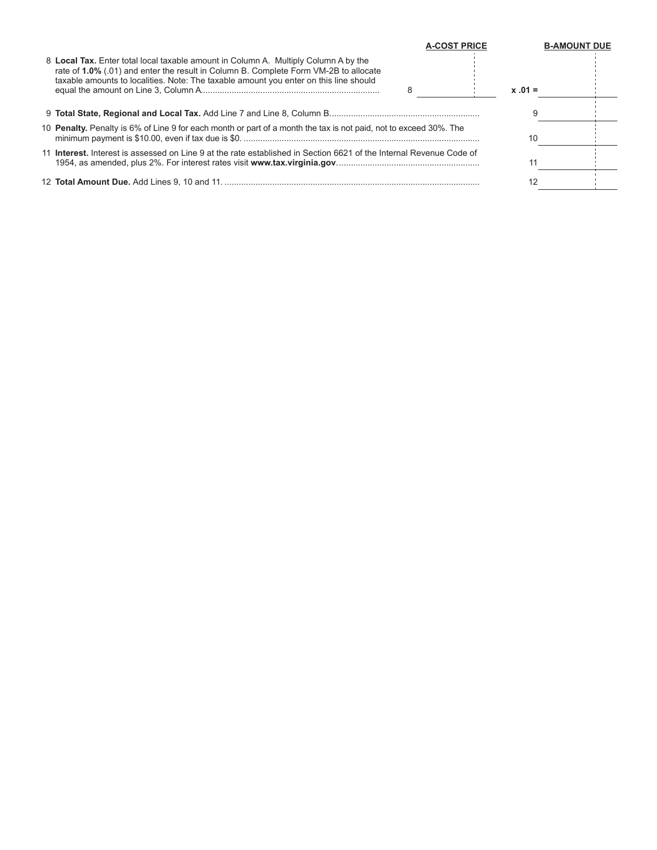|                                                                                                                                                                                                                                                                      | <b>A-COST PRICE</b> | <b>B-AMOUNT DUE</b> |
|----------------------------------------------------------------------------------------------------------------------------------------------------------------------------------------------------------------------------------------------------------------------|---------------------|---------------------|
| 8 Local Tax. Enter total local taxable amount in Column A. Multiply Column A by the<br>rate of 1.0% (.01) and enter the result in Column B. Complete Form VM-2B to allocate<br>taxable amounts to localities. Note: The taxable amount you enter on this line should | $x .01 =$           |                     |
|                                                                                                                                                                                                                                                                      |                     |                     |
| 10 <b>Penalty.</b> Penalty is 6% of Line 9 for each month or part of a month the tax is not paid, not to exceed 30%. The                                                                                                                                             | 10                  |                     |
| 11 <b>Interest</b> , Interest is assessed on Line 9 at the rate established in Section 6621 of the Internal Revenue Code of                                                                                                                                          |                     |                     |
|                                                                                                                                                                                                                                                                      |                     |                     |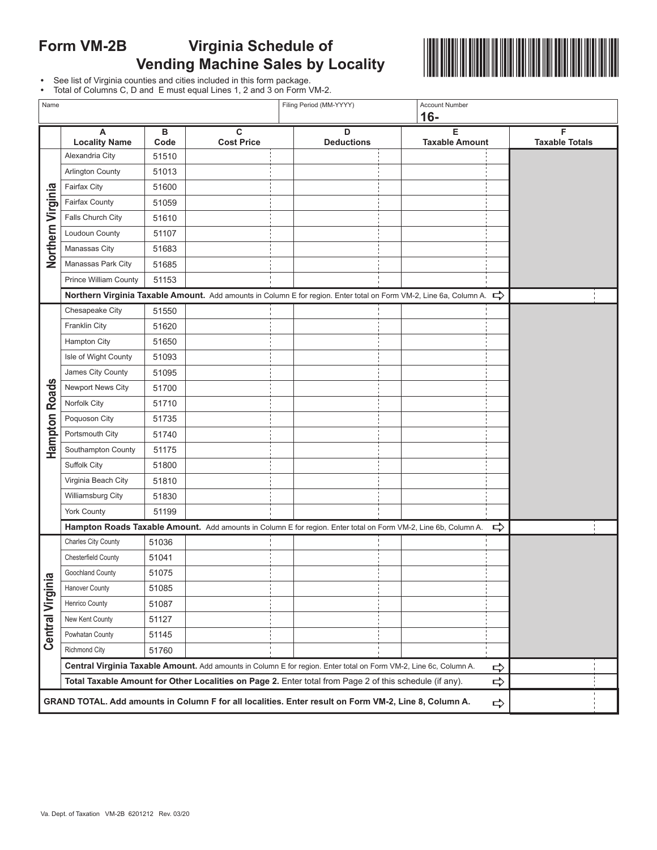# **Form VM-2B Virginia Schedule of Vending Machine Sales by Locality**



**•** See list of Virginia counties and cities included in this form package.

|  | • Total of Columns C, D and E must equal Lines 1, 2 and 3 on Form VM-2. |  |  |  |
|--|-------------------------------------------------------------------------|--|--|--|
|--|-------------------------------------------------------------------------|--|--|--|

| Name                  |                              |           |                                                                                                                    | Filing Period (MM-YYYY) | <b>Account Number</b><br>$16-$ |               |                            |  |
|-----------------------|------------------------------|-----------|--------------------------------------------------------------------------------------------------------------------|-------------------------|--------------------------------|---------------|----------------------------|--|
|                       | A<br><b>Locality Name</b>    | в<br>Code | C<br><b>Cost Price</b>                                                                                             | D<br><b>Deductions</b>  | Е<br><b>Taxable Amount</b>     |               | F<br><b>Taxable Totals</b> |  |
|                       | Alexandria City              | 51510     |                                                                                                                    |                         |                                |               |                            |  |
|                       | Arlington County             | 51013     |                                                                                                                    |                         |                                |               |                            |  |
|                       | <b>Fairfax City</b>          | 51600     |                                                                                                                    |                         |                                |               |                            |  |
|                       | Fairfax County               | 51059     |                                                                                                                    |                         |                                |               |                            |  |
|                       | Falls Church City            | 51610     |                                                                                                                    |                         |                                |               |                            |  |
| Northern Virginia     | Loudoun County               | 51107     |                                                                                                                    |                         |                                |               |                            |  |
|                       | Manassas City                | 51683     |                                                                                                                    |                         |                                |               |                            |  |
|                       | Manassas Park City           | 51685     |                                                                                                                    |                         |                                |               |                            |  |
|                       | <b>Prince William County</b> | 51153     |                                                                                                                    |                         |                                |               |                            |  |
|                       |                              |           | Northern Virginia Taxable Amount. Add amounts in Column E for region. Enter total on Form VM-2, Line 6a, Column A. |                         |                                | ⇨             |                            |  |
|                       | Chesapeake City              | 51550     |                                                                                                                    |                         |                                |               |                            |  |
|                       | Franklin City                | 51620     |                                                                                                                    |                         |                                |               |                            |  |
|                       | <b>Hampton City</b>          | 51650     |                                                                                                                    |                         |                                |               |                            |  |
|                       | Isle of Wight County         | 51093     |                                                                                                                    |                         |                                |               |                            |  |
|                       | James City County            | 51095     |                                                                                                                    |                         |                                |               |                            |  |
|                       | Newport News City            | 51700     |                                                                                                                    |                         |                                |               |                            |  |
| <b>Hampton Roads</b>  | Norfolk City                 | 51710     |                                                                                                                    |                         |                                |               |                            |  |
|                       | Poquoson City                | 51735     |                                                                                                                    |                         |                                |               |                            |  |
|                       | Portsmouth City              | 51740     |                                                                                                                    |                         |                                |               |                            |  |
|                       | Southampton County           | 51175     |                                                                                                                    |                         |                                |               |                            |  |
|                       | Suffolk City                 | 51800     |                                                                                                                    |                         |                                |               |                            |  |
|                       | Virginia Beach City          | 51810     |                                                                                                                    |                         |                                |               |                            |  |
|                       | Williamsburg City            | 51830     |                                                                                                                    |                         |                                |               |                            |  |
|                       | <b>York County</b>           | 51199     |                                                                                                                    |                         |                                |               |                            |  |
|                       |                              |           | Hampton Roads Taxable Amount. Add amounts in Column E for region. Enter total on Form VM-2, Line 6b, Column A.     |                         |                                | ⇨             |                            |  |
|                       | Charles City County          | 51036     |                                                                                                                    |                         |                                |               |                            |  |
|                       | Chesterfield County          | 51041     |                                                                                                                    |                         |                                |               |                            |  |
| ℼ                     | Goochland County             | 51075     |                                                                                                                    |                         |                                |               |                            |  |
| <b>Central Virgin</b> | Hanover County               | 51085     |                                                                                                                    |                         |                                |               |                            |  |
|                       | Henrico County               | 51087     |                                                                                                                    |                         |                                |               |                            |  |
|                       | New Kent County              | 51127     |                                                                                                                    |                         |                                |               |                            |  |
|                       | Powhatan County              | 51145     |                                                                                                                    |                         |                                |               |                            |  |
|                       | Richmond City                | 51760     |                                                                                                                    |                         |                                |               |                            |  |
|                       |                              |           | Central Virginia Taxable Amount. Add amounts in Column E for region. Enter total on Form VM-2, Line 6c, Column A.  |                         |                                | $\Rightarrow$ |                            |  |
|                       |                              |           | Total Taxable Amount for Other Localities on Page 2. Enter total from Page 2 of this schedule (if any).            |                         |                                | ⇨             |                            |  |
|                       |                              |           | GRAND TOTAL. Add amounts in Column F for all localities. Enter result on Form VM-2, Line 8, Column A.              |                         |                                | ⇨             |                            |  |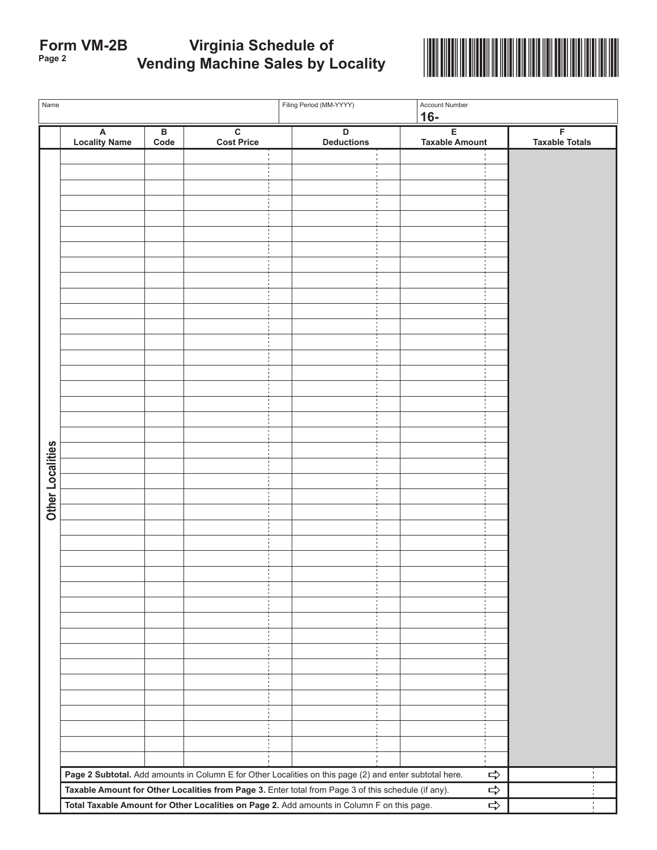# **Page 2** \*VAVM2B220888\* **Form VM-2B Virginia Schedule of Vending Machine Sales by Locality**



| Name             |                           | Filing Period (MM-YYYY)         |                                              |  | Account Number<br>$16-$                                                                                                                                                                                        |  |                            |                                         |  |
|------------------|---------------------------|---------------------------------|----------------------------------------------|--|----------------------------------------------------------------------------------------------------------------------------------------------------------------------------------------------------------------|--|----------------------------|-----------------------------------------|--|
|                  | A<br><b>Locality Name</b> | $\overline{\mathsf{B}}$<br>Code | $\overline{\mathbf{c}}$<br><b>Cost Price</b> |  | D<br><b>Deductions</b>                                                                                                                                                                                         |  | E<br><b>Taxable Amount</b> | $\overline{F}$<br><b>Taxable Totals</b> |  |
|                  |                           |                                 |                                              |  |                                                                                                                                                                                                                |  |                            |                                         |  |
|                  |                           |                                 |                                              |  |                                                                                                                                                                                                                |  |                            |                                         |  |
|                  |                           |                                 |                                              |  |                                                                                                                                                                                                                |  |                            |                                         |  |
|                  |                           |                                 |                                              |  |                                                                                                                                                                                                                |  |                            |                                         |  |
|                  |                           |                                 |                                              |  |                                                                                                                                                                                                                |  |                            |                                         |  |
|                  |                           |                                 |                                              |  |                                                                                                                                                                                                                |  |                            |                                         |  |
|                  |                           |                                 |                                              |  |                                                                                                                                                                                                                |  |                            |                                         |  |
|                  |                           |                                 |                                              |  |                                                                                                                                                                                                                |  |                            |                                         |  |
|                  |                           |                                 |                                              |  |                                                                                                                                                                                                                |  |                            |                                         |  |
|                  |                           |                                 |                                              |  |                                                                                                                                                                                                                |  |                            |                                         |  |
|                  |                           |                                 |                                              |  |                                                                                                                                                                                                                |  |                            |                                         |  |
|                  |                           |                                 |                                              |  |                                                                                                                                                                                                                |  |                            |                                         |  |
|                  |                           |                                 |                                              |  |                                                                                                                                                                                                                |  |                            |                                         |  |
|                  |                           |                                 |                                              |  |                                                                                                                                                                                                                |  |                            |                                         |  |
|                  |                           |                                 |                                              |  |                                                                                                                                                                                                                |  |                            |                                         |  |
|                  |                           |                                 |                                              |  |                                                                                                                                                                                                                |  |                            |                                         |  |
|                  |                           |                                 |                                              |  |                                                                                                                                                                                                                |  |                            |                                         |  |
|                  |                           |                                 |                                              |  |                                                                                                                                                                                                                |  |                            |                                         |  |
| Other Localities |                           |                                 |                                              |  |                                                                                                                                                                                                                |  |                            |                                         |  |
|                  |                           |                                 |                                              |  |                                                                                                                                                                                                                |  |                            |                                         |  |
|                  |                           |                                 |                                              |  |                                                                                                                                                                                                                |  |                            |                                         |  |
|                  |                           |                                 |                                              |  |                                                                                                                                                                                                                |  |                            |                                         |  |
|                  |                           |                                 |                                              |  |                                                                                                                                                                                                                |  |                            |                                         |  |
|                  |                           |                                 |                                              |  |                                                                                                                                                                                                                |  |                            |                                         |  |
|                  |                           |                                 |                                              |  |                                                                                                                                                                                                                |  |                            |                                         |  |
|                  |                           |                                 |                                              |  |                                                                                                                                                                                                                |  |                            |                                         |  |
|                  |                           |                                 |                                              |  |                                                                                                                                                                                                                |  |                            |                                         |  |
|                  |                           |                                 |                                              |  |                                                                                                                                                                                                                |  |                            |                                         |  |
|                  |                           |                                 |                                              |  |                                                                                                                                                                                                                |  |                            |                                         |  |
|                  |                           |                                 |                                              |  |                                                                                                                                                                                                                |  |                            |                                         |  |
|                  |                           |                                 |                                              |  |                                                                                                                                                                                                                |  |                            |                                         |  |
|                  |                           |                                 |                                              |  |                                                                                                                                                                                                                |  |                            |                                         |  |
|                  |                           |                                 |                                              |  |                                                                                                                                                                                                                |  |                            |                                         |  |
|                  |                           |                                 |                                              |  |                                                                                                                                                                                                                |  |                            |                                         |  |
|                  |                           |                                 |                                              |  |                                                                                                                                                                                                                |  |                            |                                         |  |
|                  |                           |                                 |                                              |  |                                                                                                                                                                                                                |  |                            |                                         |  |
|                  |                           |                                 |                                              |  | Page 2 Subtotal. Add amounts in Column E for Other Localities on this page (2) and enter subtotal here.<br>Taxable Amount for Other Localities from Page 3. Enter total from Page 3 of this schedule (if any). |  |                            | $\Rightarrow$<br>$\Rightarrow$          |  |
|                  |                           |                                 |                                              |  | Total Taxable Amount for Other Localities on Page 2. Add amounts in Column F on this page.                                                                                                                     |  |                            | $\Rightarrow$<br>$\frac{1}{4}$          |  |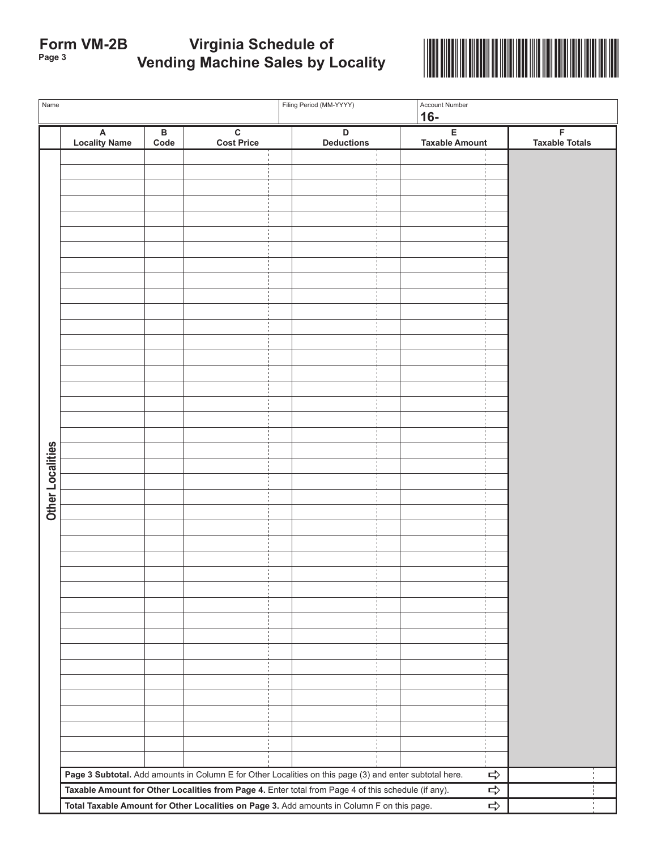| Form VM-2B | <b>Virginia Schedule of</b>              |
|------------|------------------------------------------|
| Page 3     | <b>Vending Machine Sales by Locality</b> |



| Name             |                                                   |                         |                                              | Filing Period (MM-YYYY)                                                                                 | Account Number<br>$16-$                 |                            |  |  |
|------------------|---------------------------------------------------|-------------------------|----------------------------------------------|---------------------------------------------------------------------------------------------------------|-----------------------------------------|----------------------------|--|--|
|                  | $\boldsymbol{\mathsf{A}}$<br><b>Locality Name</b> | $\, {\bf B} \,$<br>Code | $\overline{\mathbf{c}}$<br><b>Cost Price</b> | $\overline{D}$<br><b>Deductions</b>                                                                     | $\overline{E}$<br><b>Taxable Amount</b> | F<br><b>Taxable Totals</b> |  |  |
|                  |                                                   |                         |                                              |                                                                                                         |                                         |                            |  |  |
|                  |                                                   |                         |                                              |                                                                                                         |                                         |                            |  |  |
|                  |                                                   |                         |                                              |                                                                                                         |                                         |                            |  |  |
|                  |                                                   |                         |                                              |                                                                                                         |                                         |                            |  |  |
|                  |                                                   |                         |                                              |                                                                                                         |                                         |                            |  |  |
|                  |                                                   |                         |                                              |                                                                                                         |                                         |                            |  |  |
|                  |                                                   |                         |                                              |                                                                                                         |                                         |                            |  |  |
|                  |                                                   |                         |                                              |                                                                                                         |                                         |                            |  |  |
|                  |                                                   |                         |                                              |                                                                                                         |                                         |                            |  |  |
|                  |                                                   |                         |                                              |                                                                                                         |                                         |                            |  |  |
|                  |                                                   |                         |                                              |                                                                                                         |                                         |                            |  |  |
|                  |                                                   |                         |                                              |                                                                                                         |                                         |                            |  |  |
|                  |                                                   |                         |                                              |                                                                                                         |                                         |                            |  |  |
|                  |                                                   |                         |                                              |                                                                                                         |                                         |                            |  |  |
|                  |                                                   |                         |                                              |                                                                                                         |                                         |                            |  |  |
|                  |                                                   |                         |                                              |                                                                                                         |                                         |                            |  |  |
|                  |                                                   |                         |                                              |                                                                                                         |                                         |                            |  |  |
|                  |                                                   |                         |                                              |                                                                                                         |                                         |                            |  |  |
|                  |                                                   |                         |                                              |                                                                                                         |                                         |                            |  |  |
| Other Localities |                                                   |                         |                                              |                                                                                                         |                                         |                            |  |  |
|                  |                                                   |                         |                                              |                                                                                                         |                                         |                            |  |  |
|                  |                                                   |                         |                                              |                                                                                                         |                                         |                            |  |  |
|                  |                                                   |                         |                                              |                                                                                                         |                                         |                            |  |  |
|                  |                                                   |                         |                                              |                                                                                                         |                                         |                            |  |  |
|                  |                                                   |                         |                                              |                                                                                                         |                                         |                            |  |  |
|                  |                                                   |                         |                                              |                                                                                                         |                                         |                            |  |  |
|                  |                                                   |                         |                                              |                                                                                                         |                                         |                            |  |  |
|                  |                                                   |                         |                                              |                                                                                                         |                                         |                            |  |  |
|                  |                                                   |                         |                                              |                                                                                                         |                                         |                            |  |  |
|                  |                                                   |                         |                                              |                                                                                                         |                                         |                            |  |  |
|                  |                                                   |                         |                                              |                                                                                                         |                                         |                            |  |  |
|                  |                                                   |                         |                                              |                                                                                                         |                                         |                            |  |  |
|                  |                                                   |                         |                                              |                                                                                                         |                                         |                            |  |  |
|                  |                                                   |                         |                                              |                                                                                                         |                                         |                            |  |  |
|                  |                                                   |                         |                                              |                                                                                                         |                                         |                            |  |  |
|                  |                                                   |                         |                                              |                                                                                                         |                                         |                            |  |  |
|                  |                                                   |                         |                                              |                                                                                                         |                                         |                            |  |  |
|                  |                                                   |                         |                                              |                                                                                                         |                                         |                            |  |  |
|                  |                                                   |                         |                                              |                                                                                                         |                                         |                            |  |  |
|                  |                                                   |                         |                                              | Page 3 Subtotal. Add amounts in Column E for Other Localities on this page (3) and enter subtotal here. | ⇨                                       |                            |  |  |
|                  |                                                   |                         |                                              | Taxable Amount for Other Localities from Page 4. Enter total from Page 4 of this schedule (if any).     | ⇨                                       |                            |  |  |
|                  |                                                   |                         |                                              | Total Taxable Amount for Other Localities on Page 3. Add amounts in Column F on this page.              | $\Rightarrow$                           |                            |  |  |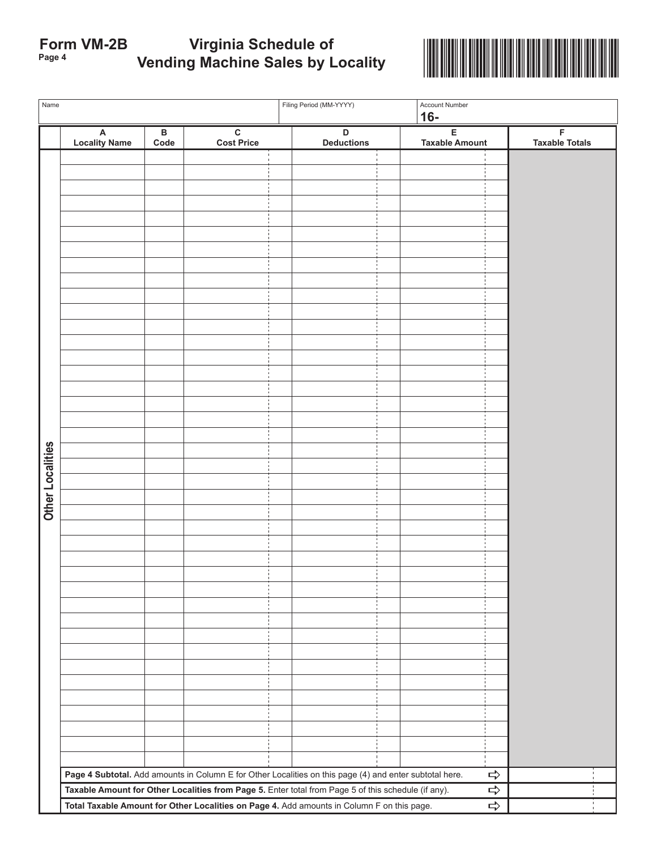| <b>Form VM-2B</b> | Virginia Schedule of                     |
|-------------------|------------------------------------------|
| Page 4            | <b>Vending Machine Sales by Locality</b> |



| Name             |                           |                      |                                                                                                         | Filing Period (MM-YYYY)<br>Account Number<br>$16-$ |                                  |  |                            |                            |  |  |
|------------------|---------------------------|----------------------|---------------------------------------------------------------------------------------------------------|----------------------------------------------------|----------------------------------|--|----------------------------|----------------------------|--|--|
|                  | A<br><b>Locality Name</b> | $\, {\bf B}$<br>Code | $\overline{\mathbf{c}}$<br><b>Cost Price</b>                                                            |                                                    | $\mathsf D$<br><b>Deductions</b> |  | E<br><b>Taxable Amount</b> | F<br><b>Taxable Totals</b> |  |  |
|                  |                           |                      |                                                                                                         |                                                    |                                  |  |                            |                            |  |  |
|                  |                           |                      |                                                                                                         |                                                    |                                  |  |                            |                            |  |  |
|                  |                           |                      |                                                                                                         |                                                    |                                  |  |                            |                            |  |  |
|                  |                           |                      |                                                                                                         |                                                    |                                  |  |                            |                            |  |  |
|                  |                           |                      |                                                                                                         |                                                    |                                  |  |                            |                            |  |  |
|                  |                           |                      |                                                                                                         |                                                    |                                  |  |                            |                            |  |  |
|                  |                           |                      |                                                                                                         |                                                    |                                  |  |                            |                            |  |  |
|                  |                           |                      |                                                                                                         |                                                    |                                  |  |                            |                            |  |  |
|                  |                           |                      |                                                                                                         |                                                    |                                  |  |                            |                            |  |  |
|                  |                           |                      |                                                                                                         |                                                    |                                  |  |                            |                            |  |  |
|                  |                           |                      |                                                                                                         |                                                    |                                  |  |                            |                            |  |  |
|                  |                           |                      |                                                                                                         |                                                    |                                  |  |                            |                            |  |  |
|                  |                           |                      |                                                                                                         |                                                    |                                  |  |                            |                            |  |  |
|                  |                           |                      |                                                                                                         |                                                    |                                  |  |                            |                            |  |  |
|                  |                           |                      |                                                                                                         |                                                    |                                  |  |                            |                            |  |  |
|                  |                           |                      |                                                                                                         |                                                    |                                  |  |                            |                            |  |  |
|                  |                           |                      |                                                                                                         |                                                    |                                  |  |                            |                            |  |  |
| Other Localities |                           |                      |                                                                                                         |                                                    |                                  |  |                            |                            |  |  |
|                  |                           |                      |                                                                                                         |                                                    |                                  |  |                            |                            |  |  |
|                  |                           |                      |                                                                                                         |                                                    |                                  |  |                            |                            |  |  |
|                  |                           |                      |                                                                                                         |                                                    |                                  |  |                            |                            |  |  |
|                  |                           |                      |                                                                                                         |                                                    |                                  |  |                            |                            |  |  |
|                  |                           |                      |                                                                                                         |                                                    |                                  |  |                            |                            |  |  |
|                  |                           |                      |                                                                                                         |                                                    |                                  |  |                            |                            |  |  |
|                  |                           |                      |                                                                                                         |                                                    |                                  |  |                            |                            |  |  |
|                  |                           |                      |                                                                                                         |                                                    |                                  |  |                            |                            |  |  |
|                  |                           |                      |                                                                                                         |                                                    |                                  |  |                            |                            |  |  |
|                  |                           |                      |                                                                                                         |                                                    |                                  |  |                            |                            |  |  |
|                  |                           |                      |                                                                                                         |                                                    |                                  |  |                            |                            |  |  |
|                  |                           |                      |                                                                                                         |                                                    |                                  |  |                            |                            |  |  |
|                  |                           |                      |                                                                                                         |                                                    |                                  |  |                            |                            |  |  |
|                  |                           |                      |                                                                                                         |                                                    |                                  |  |                            |                            |  |  |
|                  |                           |                      |                                                                                                         |                                                    |                                  |  |                            |                            |  |  |
|                  |                           |                      |                                                                                                         |                                                    |                                  |  |                            |                            |  |  |
|                  |                           |                      |                                                                                                         |                                                    |                                  |  |                            |                            |  |  |
|                  |                           |                      | Page 4 Subtotal. Add amounts in Column E for Other Localities on this page (4) and enter subtotal here. |                                                    |                                  |  | $\Rightarrow$              |                            |  |  |
|                  |                           |                      | Taxable Amount for Other Localities from Page 5. Enter total from Page 5 of this schedule (if any).     |                                                    |                                  |  | ⇨                          |                            |  |  |
|                  |                           |                      | Total Taxable Amount for Other Localities on Page 4. Add amounts in Column F on this page.              |                                                    |                                  |  | $\Rightarrow$              |                            |  |  |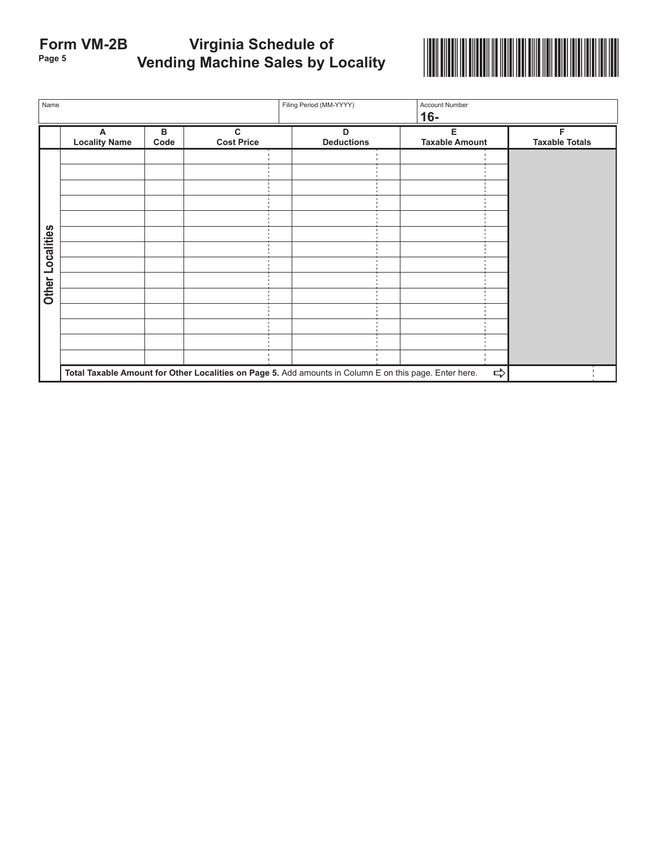# **Page 5** \*VAVM2B520888\* **Form VM-2B Virginia Schedule of Vending Machine Sales by Locality**



| Name             |                                                                                                        |           |                        | Filing Period (MM-YYYY) | Account Number<br>$16-$    |                            |
|------------------|--------------------------------------------------------------------------------------------------------|-----------|------------------------|-------------------------|----------------------------|----------------------------|
|                  | A<br><b>Locality Name</b>                                                                              | в<br>Code | C<br><b>Cost Price</b> | D<br><b>Deductions</b>  | Е<br><b>Taxable Amount</b> | F<br><b>Taxable Totals</b> |
| Other Localities |                                                                                                        |           |                        |                         |                            |                            |
|                  |                                                                                                        |           |                        |                         |                            |                            |
|                  |                                                                                                        |           |                        |                         |                            |                            |
|                  |                                                                                                        |           |                        |                         |                            |                            |
|                  | Total Taxable Amount for Other Localities on Page 5. Add amounts in Column E on this page. Enter here. |           |                        |                         |                            |                            |